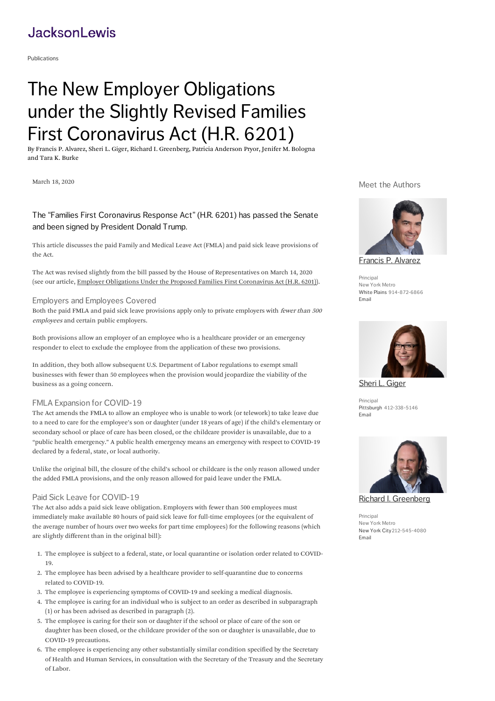# **JacksonLewis**

[Publications](https://www.jacksonlewis.com/publications)

# The New Employer Obligations under the Slightly Revised Families First Coronavirus Act (H.R. 6201)

By [Francis](https://www.jacksonlewis.com/people/francis-p-alvarez) P. Alvarez, [Sheri](https://www.jacksonlewis.com/people/sheri-l-giger) L. Giger, Richard I. [Greenberg](https://www.jacksonlewis.com/people/richard-i-greenberg), Patricia [Anderson](https://www.jacksonlewis.com/people/patricia-anderson-pryor) Pryor, Jenifer M. [Bologna](https://www.jacksonlewis.com/people/jenifer-m-bologna) and Tara K. [Burke](https://www.jacksonlewis.com/people/tara-k-burke)

March 18, 2020

# Meet the Authors

# The "Families First Coronavirus Response Act" (H.R. 6201) has passed the Senate and been signed by President Donald Trump.

This article discusses the paid Family and Medical Leave Act (FMLA) and paid sick leave provisions of the Act.

The Act was revised slightly from the bill passed by the House of Representatives on March 14, 2020 (see our article, Employer Obligations Under the Proposed Families First [Coronavirus](https://www.jacksonlewis.com/publication/employer-obligations-under-proposed-families-first-coronavirus-act-hr-6201) Act (H.R. 6201)).

### Employers and Employees Covered

Both the paid FMLA and paid sick leave provisions apply only to private employers with fewer than <sup>500</sup> employees and certain public employers.

Both provisions allow an employer of an employee who is a healthcare provider or an emergency responder to elect to exclude the employee from the application of these two provisions.

In addition, they both allow subsequent U.S. Department of Labor regulations to exempt small businesses with fewer than 50 employees when the provision would jeopardize the viability of the business as a going concern.

# FMLA Expansion for COVID-19

The Act amends the FMLA to allow an employee who is unable to work (or telework) to take leave due to a need to care for the employee's son or daughter (under 18 years of age) if the child's elementary or secondary school or place of care has been closed, or the childcare provider is unavailable, due to a "public health emergency. A public health emergency means an emergency with respect to COVID-19 declared by a federal, state, or local authority.

Unlike the original bill, the closure of the child's school or childcare is the only reason allowed under the added FMLA provisions, and the only reason allowed for paid leave under the FMLA.

# Paid Sick Leave for COVID-19

The Act also adds a paid sick leave obligation. Employers with fewer than 500 employees must immediately make available 80 hours of paid sick leave for full-time employees (or the equivalent of the average number of hours over two weeks for part time employees) for the following reasons (which are slightly different than in the original bill):

- 1. The employee is subject to a federal, state, or local quarantine or isolation order related to COVID-19.
- 2. The employee has been advised by a healthcare provider to self-quarantine due to concerns related to COVID-19.
- 3. The employee is experiencing symptoms of COVID-19 and seeking a medical diagnosis.
- 4. The employee is caring for an individual who is subject to an order as described in subparagraph (1) or has been advised as described in paragraph (2).
- 5. The employee is caring for their son or daughter if the school or place of care of the son or daughter has been closed, or the childcare provider of the son or daughter is unavailable, due to COVID-19 precautions.
- 6. The employee is experiencing any other substantially similar condition specified by the Secretary of Health and Human Services, in consultation with the Secretary of the Treasury and the Secretary of Labor.





Sheri L. [Giger](https://www.jacksonlewis.com/people/sheri-l-giger)

Principal [Pittsburgh](https://www.jacksonlewis.com/office/pittsburgh) 412-338-5146 [Email](mailto:Sheri.Giger@jacksonlewis.com)



Principal New York Metro New [York](https://www.jacksonlewis.com/office/new-york-city) City212-545-4080 [Email](mailto:Richard.Greenberg@jacksonlewis.com)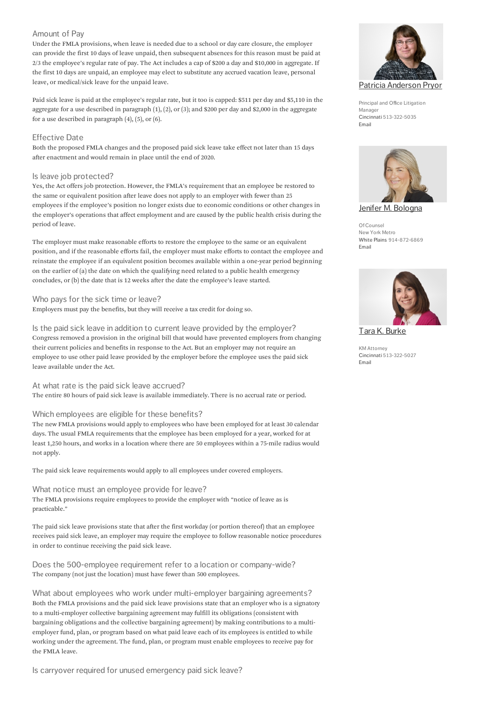# Amount of Pay

Under the FMLA provisions, when leave is needed due to a school or day care closure, the employer can provide the first 10 days of leave unpaid, then subsequent absences for this reason must be paid at  $2/3$  the employee's regular rate of pay. The Act includes a cap of \$200 a day and \$10,000 in aggregate. If the first 10 days are unpaid, an employee may elect to substitute any accrued vacation leave, personal leave, or medical/sick leave for the unpaid leave.

Paid sick leave is paid at the employee's regular rate, but it too is capped: \$511 per day and \$5,110 in the aggregate for a use described in paragraph  $(1)$ ,  $(2)$ , or  $(3)$ ; and \$200 per day and \$2,000 in the aggregate for a use described in paragraph  $(4)$ ,  $(5)$ , or  $(6)$ .

### Effective Date

Both the proposed FMLA changes and the proposed paid sick leave take effect not later than 15 days after enactment and would remain in place until the end of 2020.

### Is leave job protected?

Yes, the Act offers job protection. However, the FMLA's requirement that an employee be restored to the same or equivalent position after leave does not apply to an employer with fewer than 25 employees if the employee's position no longer exists due to economic conditions or other changes in the employer's operations that affect employment and are caused by the public health crisis during the period of leave.

The employer must make reasonable efforts to restore the employee to the same or an equivalent position, and if the reasonable efforts fail, the employer must make efforts to contact the employee and reinstate the employee if an equivalent position becomes available within a one-year period beginning on the earlier of (a) the date on which the qualifying need related to a public health emergency concludes, or (b) the date that is 12 weeks after the date the employee's leave started.

### Who pays for the sick time or leave?

Employers must pay the benefits, but they will receive a tax credit for doing so.

Is the paid sick leave in addition to current leave provided by the employer? Congress removed a provision in the original bill that would have prevented employers from changing their current policies and benefits in response to the Act. But an employer may not require an employee to use other paid leave provided by the employer before the employee uses the paid sick leave available under the Act.

At what rate is the paid sick leave accrued?

The entire 80 hours of paid sick leave is available immediately. There is no accrual rate or period.

# Which employees are eligible for these benefits?

The new FMLA provisions would apply to employees who have been employed for at least 30 calendar days. The usual FMLA requirements that the employee has been employed for a year, worked for at least 1,250 hours, and works in a location where there are 50 employees within a 75-mile radius would not apply.

The paid sick leave requirements would apply to all employees under covered employers.

# What notice must an employee provide for leave? The FMLA provisions require employees to provide the employer with "notice of leave as is practicable.

The paid sick leave provisions state that after the first workday (or portion thereof) that an employee receives paid sick leave, an employer may require the employee to follow reasonable notice procedures in order to continue receiving the paid sick leave.

Does the 500-employee requirement refer to a location or company-wide? The company (not just the location) must have fewer than 500 employees.

What about employees who work under multi-employer bargaining agreements? Both the FMLA provisions and the paid sick leave provisions state that an employer who is a signatory to a multi-employer collective bargaining agreement may fulfill its obligations (consistent with bargaining obligations and the collective bargaining agreement) by making contributions to a multiemployer fund, plan, or program based on what paid leave each of its employees is entitled to while working under the agreement. The fund, plan, or program must enable employees to receive pay for the FMLA leave.

Is carryover required for unused emergency paid sick leave?



Principal and Office Litigation Manager [Cincinnati](https://www.jacksonlewis.com/office/cincinnati) 513-322-5035 [Email](mailto:Patricia.Pryor@jacksonlewis.com)



Jenifer M. [Bologna](https://www.jacksonlewis.com/people/jenifer-m-bologna)

OfCounsel New York Metro White [Plains](https://www.jacksonlewis.com/office/white-plains) 914-872-6869 [Email](mailto:Jenifer.Bologna@jacksonlewis.com)



Tara K. [Burke](https://www.jacksonlewis.com/people/tara-k-burke)

KM Attorney [Cincinnati](https://www.jacksonlewis.com/office/cincinnati) 513-322-5027 [Email](mailto:tara.burke@jacksonlewis.com)